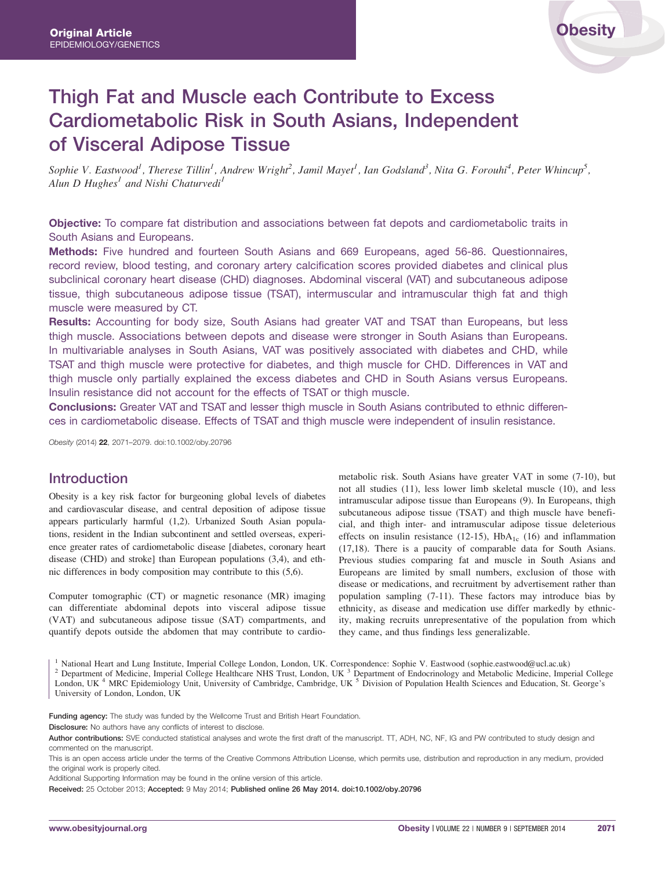# **Obesity**

# Thigh Fat and Muscle each Contribute to Excess Cardiometabolic Risk in South Asians, Independent of Visceral Adipose Tissue

Sophie V. Eastwood<sup>1</sup>, Therese Tillin<sup>1</sup>, Andrew Wright<sup>2</sup>, Jamil Mayet<sup>1</sup>, Ian Godsland<sup>3</sup>, Nita G. Forouhi<sup>4</sup>, Peter Whincup<sup>5</sup>, Alun D Hughes<sup>1</sup> and Nishi Chaturvedi<sup>1</sup>

Objective: To compare fat distribution and associations between fat depots and cardiometabolic traits in South Asians and Europeans.

Methods: Five hundred and fourteen South Asians and 669 Europeans, aged 56-86. Questionnaires, record review, blood testing, and coronary artery calcification scores provided diabetes and clinical plus subclinical coronary heart disease (CHD) diagnoses. Abdominal visceral (VAT) and subcutaneous adipose tissue, thigh subcutaneous adipose tissue (TSAT), intermuscular and intramuscular thigh fat and thigh muscle were measured by CT.

Results: Accounting for body size, South Asians had greater VAT and TSAT than Europeans, but less thigh muscle. Associations between depots and disease were stronger in South Asians than Europeans. In multivariable analyses in South Asians, VAT was positively associated with diabetes and CHD, while TSAT and thigh muscle were protective for diabetes, and thigh muscle for CHD. Differences in VAT and thigh muscle only partially explained the excess diabetes and CHD in South Asians versus Europeans. Insulin resistance did not account for the effects of TSAT or thigh muscle.

Conclusions: Greater VAT and TSAT and lesser thigh muscle in South Asians contributed to ethnic differences in cardiometabolic disease. Effects of TSAT and thigh muscle were independent of insulin resistance.

Obesity (2014) 22, 2071–2079. doi:10.1002/oby.20796

### Introduction

Obesity is a key risk factor for burgeoning global levels of diabetes and cardiovascular disease, and central deposition of adipose tissue appears particularly harmful (1,2). Urbanized South Asian populations, resident in the Indian subcontinent and settled overseas, experience greater rates of cardiometabolic disease [diabetes, coronary heart disease (CHD) and stroke] than European populations (3,4), and ethnic differences in body composition may contribute to this (5,6).

Computer tomographic (CT) or magnetic resonance (MR) imaging can differentiate abdominal depots into visceral adipose tissue (VAT) and subcutaneous adipose tissue (SAT) compartments, and quantify depots outside the abdomen that may contribute to cardiometabolic risk. South Asians have greater VAT in some (7-10), but not all studies (11), less lower limb skeletal muscle (10), and less intramuscular adipose tissue than Europeans (9). In Europeans, thigh subcutaneous adipose tissue (TSAT) and thigh muscle have beneficial, and thigh inter- and intramuscular adipose tissue deleterious effects on insulin resistance (12-15),  $HbA_{1c}$  (16) and inflammation (17,18). There is a paucity of comparable data for South Asians. Previous studies comparing fat and muscle in South Asians and Europeans are limited by small numbers, exclusion of those with disease or medications, and recruitment by advertisement rather than population sampling (7-11). These factors may introduce bias by ethnicity, as disease and medication use differ markedly by ethnicity, making recruits unrepresentative of the population from which they came, and thus findings less generalizable.

<sup>1</sup> National Heart and Lung Institute, Imperial College London, London, UK. Correspondence: Sophie V. Eastwood (sophie.eastwood@ucl.ac.uk)<br><sup>2</sup> Department of Medicine, Imperial College Healthcare NHS Trust, London, UK<sup>3</sup> De

London, UK<sup>4</sup> MRC Epidemiology Unit, University of Cambridge, Cambridge, UK<sup>5</sup> Division of Population Health Sciences and Education, St. George's University of London, London, UK

Funding agency: The study was funded by the Wellcome Trust and British Heart Foundation.

Disclosure: No authors have any conflicts of interest to disclose.

Author contributions: SVE conducted statistical analyses and wrote the first draft of the manuscript. TT, ADH, NC, NF, IG and PW contributed to study design and commented on the manuscript.

This is an open access article under the terms of the Creative Commons Attribution License, which permits use, distribution and reproduction in any medium, provided the original work is properly cited.

Additional Supporting Information may be found in the online version of this article.

Received: 25 October 2013; Accepted: 9 May 2014; Published online 26 May 2014. doi:10.1002/oby.20796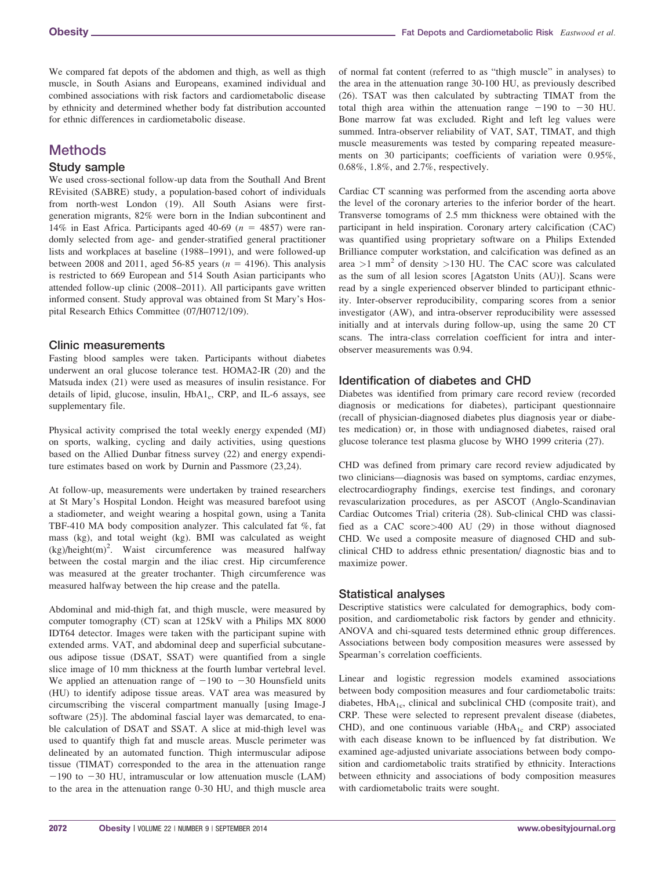We compared fat depots of the abdomen and thigh, as well as thigh muscle, in South Asians and Europeans, examined individual and combined associations with risk factors and cardiometabolic disease by ethnicity and determined whether body fat distribution accounted for ethnic differences in cardiometabolic disease.

# **Methods**

#### Study sample

We used cross-sectional follow-up data from the Southall And Brent REvisited (SABRE) study, a population-based cohort of individuals from north-west London (19). All South Asians were firstgeneration migrants, 82% were born in the Indian subcontinent and 14% in East Africa. Participants aged 40-69 ( $n = 4857$ ) were randomly selected from age- and gender-stratified general practitioner lists and workplaces at baseline (1988–1991), and were followed-up between 2008 and 2011, aged 56-85 years ( $n = 4196$ ). This analysis is restricted to 669 European and 514 South Asian participants who attended follow-up clinic (2008–2011). All participants gave written informed consent. Study approval was obtained from St Mary's Hospital Research Ethics Committee (07/H0712/109).

#### Clinic measurements

Fasting blood samples were taken. Participants without diabetes underwent an oral glucose tolerance test. HOMA2-IR (20) and the Matsuda index (21) were used as measures of insulin resistance. For details of lipid, glucose, insulin,  $HbA1_c$ , CRP, and IL-6 assays, see supplementary file.

Physical activity comprised the total weekly energy expended (MJ) on sports, walking, cycling and daily activities, using questions based on the Allied Dunbar fitness survey (22) and energy expenditure estimates based on work by Durnin and Passmore (23,24).

At follow-up, measurements were undertaken by trained researchers at St Mary's Hospital London. Height was measured barefoot using a stadiometer, and weight wearing a hospital gown, using a Tanita TBF-410 MA body composition analyzer. This calculated fat %, fat mass (kg), and total weight (kg). BMI was calculated as weight (kg)/height(m)2 . Waist circumference was measured halfway between the costal margin and the iliac crest. Hip circumference was measured at the greater trochanter. Thigh circumference was measured halfway between the hip crease and the patella.

Abdominal and mid-thigh fat, and thigh muscle, were measured by computer tomography (CT) scan at 125kV with a Philips MX 8000 IDT64 detector. Images were taken with the participant supine with extended arms. VAT, and abdominal deep and superficial subcutaneous adipose tissue (DSAT, SSAT) were quantified from a single slice image of 10 mm thickness at the fourth lumbar vertebral level. We applied an attenuation range of  $-190$  to  $-30$  Hounsfield units (HU) to identify adipose tissue areas. VAT area was measured by circumscribing the visceral compartment manually [using Image-J software (25)]. The abdominal fascial layer was demarcated, to enable calculation of DSAT and SSAT. A slice at mid-thigh level was used to quantify thigh fat and muscle areas. Muscle perimeter was delineated by an automated function. Thigh intermuscular adipose tissue (TIMAT) corresponded to the area in the attenuation range  $-190$  to  $-30$  HU, intramuscular or low attenuation muscle (LAM) to the area in the attenuation range 0-30 HU, and thigh muscle area

of normal fat content (referred to as "thigh muscle" in analyses) to the area in the attenuation range 30-100 HU, as previously described (26). TSAT was then calculated by subtracting TIMAT from the total thigh area within the attenuation range  $-190$  to  $-30$  HU. Bone marrow fat was excluded. Right and left leg values were summed. Intra-observer reliability of VAT, SAT, TIMAT, and thigh muscle measurements was tested by comparing repeated measurements on 30 participants; coefficients of variation were 0.95%, 0.68%, 1.8%, and 2.7%, respectively.

Cardiac CT scanning was performed from the ascending aorta above the level of the coronary arteries to the inferior border of the heart. Transverse tomograms of 2.5 mm thickness were obtained with the participant in held inspiration. Coronary artery calcification (CAC) was quantified using proprietary software on a Philips Extended Brilliance computer workstation, and calcification was defined as an area  $>1$  mm<sup>2</sup> of density  $>130$  HU. The CAC score was calculated as the sum of all lesion scores [Agatston Units (AU)]. Scans were read by a single experienced observer blinded to participant ethnicity. Inter-observer reproducibility, comparing scores from a senior investigator (AW), and intra-observer reproducibility were assessed initially and at intervals during follow-up, using the same 20 CT scans. The intra-class correlation coefficient for intra and interobserver measurements was 0.94.

#### Identification of diabetes and CHD

Diabetes was identified from primary care record review (recorded diagnosis or medications for diabetes), participant questionnaire (recall of physician-diagnosed diabetes plus diagnosis year or diabetes medication) or, in those with undiagnosed diabetes, raised oral glucose tolerance test plasma glucose by WHO 1999 criteria (27).

CHD was defined from primary care record review adjudicated by two clinicians—diagnosis was based on symptoms, cardiac enzymes, electrocardiography findings, exercise test findings, and coronary revascularization procedures, as per ASCOT (Anglo-Scandinavian Cardiac Outcomes Trial) criteria (28). Sub-clinical CHD was classified as a CAC score>400 AU (29) in those without diagnosed CHD. We used a composite measure of diagnosed CHD and subclinical CHD to address ethnic presentation/ diagnostic bias and to maximize power.

#### Statistical analyses

Descriptive statistics were calculated for demographics, body composition, and cardiometabolic risk factors by gender and ethnicity. ANOVA and chi-squared tests determined ethnic group differences. Associations between body composition measures were assessed by Spearman's correlation coefficients.

Linear and logistic regression models examined associations between body composition measures and four cardiometabolic traits: diabetes,  $HbA<sub>1c</sub>$ , clinical and subclinical CHD (composite trait), and CRP. These were selected to represent prevalent disease (diabetes, CHD), and one continuous variable  $(HbA<sub>1c</sub>$  and CRP) associated with each disease known to be influenced by fat distribution. We examined age-adjusted univariate associations between body composition and cardiometabolic traits stratified by ethnicity. Interactions between ethnicity and associations of body composition measures with cardiometabolic traits were sought.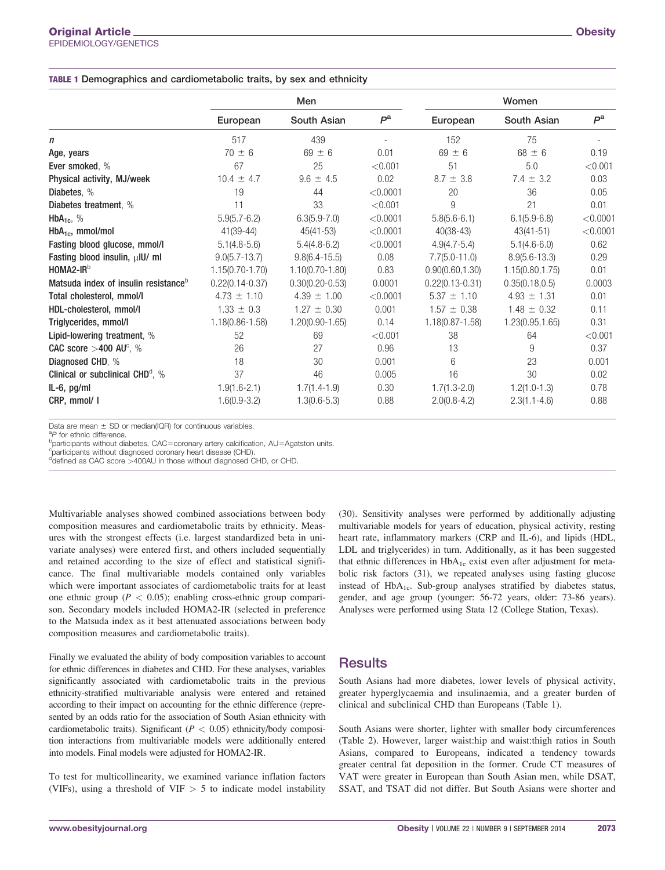#### TABLE 1 Demographics and cardiometabolic traits, by sex and ethnicity

|                                                  |                     | Men                 | Women    |                     |                  |          |
|--------------------------------------------------|---------------------|---------------------|----------|---------------------|------------------|----------|
|                                                  | European            | South Asian         | $P^a$    | European            | South Asian      | $P^a$    |
| n                                                | 517                 | 439                 |          | 152                 | 75               |          |
| Age, years                                       | $70 \pm 6$          | $69 \pm 6$          | 0.01     | $69 \pm 6$          | $68 \pm 6$       | 0.19     |
| Ever smoked, %                                   | 67                  | 25                  | < 0.001  | 51                  | 5.0              | < 0.001  |
| Physical activity, MJ/week                       | $10.4 \pm 4.7$      | $9.6 \pm 4.5$       | 0.02     | $8.7 \pm 3.8$       | $7.4 \pm 3.2$    | 0.03     |
| Diabetes, %                                      | 19                  | 44                  | < 0.0001 | 20                  | 36               | 0.05     |
| Diabetes treatment, %                            | 11                  | 33                  | < 0.001  | 9                   | 21               | 0.01     |
| $HbA_{1c}$ , %                                   | $5.9(5.7-6.2)$      | $6.3(5.9 - 7.0)$    | < 0.0001 | $5.8(5.6-6.1)$      | $6.1(5.9-6.8)$   | < 0.0001 |
| $HbA_{1c}$ , mmol/mol                            | 41(39-44)           | $45(41-53)$         | < 0.0001 | $40(38-43)$         | $43(41-51)$      | < 0.0001 |
| Fasting blood glucose, mmol/l                    | $5.1(4.8-5.6)$      | $5.4(4.8-6.2)$      | < 0.0001 | $4.9(4.7-5.4)$      | $5.1(4.6-6.0)$   | 0.62     |
| Fasting blood insulin, ull/ ml                   | $9.0(5.7 - 13.7)$   | $9.8(6.4 - 15.5)$   | 0.08     | $7.7(5.0-11.0)$     | $8.9(5.6-13.3)$  | 0.29     |
| $HOMA2-IRb$                                      | $1.15(0.70 - 1.70)$ | $1.10(0.70 - 1.80)$ | 0.83     | 0.90(0.60, 1.30)    | 1.15(0.80, 1.75) | 0.01     |
| Matsuda index of insulin resistance <sup>b</sup> | $0.22(0.14 - 0.37)$ | $0.30(0.20 - 0.53)$ | 0.0001   | $0.22(0.13 - 0.31)$ | 0.35(0.18, 0.5)  | 0.0003   |
| Total cholesterol, mmol/l                        | $4.73 \pm 1.10$     | $4.39 \pm 1.00$     | < 0.0001 | $5.37 \pm 1.10$     | $4.93 \pm 1.31$  | 0.01     |
| HDL-cholesterol, mmol/l                          | $1.33 \pm 0.3$      | $1.27 \pm 0.30$     | 0.001    | $1.57 \pm 0.38$     | $1.48 \pm 0.32$  | 0.11     |
| Triglycerides, mmol/l                            | 1.18(0.86-1.58)     | $1.20(0.90 - 1.65)$ | 0.14     | $1.18(0.87 - 1.58)$ | 1.23(0.95, 1.65) | 0.31     |
| Lipid-lowering treatment, %                      | 52                  | 69                  | < 0.001  | 38                  | 64               | < 0.001  |
| CAC score $>400$ AU <sup>c</sup> , %             | 26                  | 27                  | 0.96     | 13                  | 9                | 0.37     |
| Diagnosed CHD, %                                 | 18                  | 30                  | 0.001    | 6                   | 23               | 0.001    |
| Clinical or subclinical $CHDd$ , %               | 37                  | 46                  | 0.005    | 16                  | 30               | 0.02     |
| IL-6, pg/ml                                      | $1.9(1.6-2.1)$      | $1.7(1.4-1.9)$      | 0.30     | $1.7(1.3-2.0)$      | $1.2(1.0-1.3)$   | 0.78     |
| CRP, mmol/I                                      | $1.6(0.9-3.2)$      | $1.3(0.6-5.3)$      | 0.88     | $2.0(0.8-4.2)$      | $2.3(1.1 - 4.6)$ | 0.88     |

Data are mean  $\pm$  SD or median(IQR) for continuous variables.

 ${}^{a}P$  for ethnic difference.

 $<sup>b</sup>$ participants without diabetes, CAC=coronary artery calcification, AU=Agatston units.</sup>

<sup>c</sup>participants without diagnosed coronary heart disease (CHD).<br><sup>d</sup>defined as CAC score >400AU in those without diagnosed CHD, or CHD.

Multivariable analyses showed combined associations between body composition measures and cardiometabolic traits by ethnicity. Measures with the strongest effects (i.e. largest standardized beta in univariate analyses) were entered first, and others included sequentially and retained according to the size of effect and statistical significance. The final multivariable models contained only variables which were important associates of cardiometabolic traits for at least one ethnic group ( $P < 0.05$ ); enabling cross-ethnic group comparison. Secondary models included HOMA2-IR (selected in preference to the Matsuda index as it best attenuated associations between body composition measures and cardiometabolic traits).

Finally we evaluated the ability of body composition variables to account for ethnic differences in diabetes and CHD. For these analyses, variables significantly associated with cardiometabolic traits in the previous ethnicity-stratified multivariable analysis were entered and retained according to their impact on accounting for the ethnic difference (represented by an odds ratio for the association of South Asian ethnicity with cardiometabolic traits). Significant ( $P < 0.05$ ) ethnicity/body composition interactions from multivariable models were additionally entered into models. Final models were adjusted for HOMA2-IR.

To test for multicollinearity, we examined variance inflation factors (VIFs), using a threshold of VIF  $> 5$  to indicate model instability

(30). Sensitivity analyses were performed by additionally adjusting multivariable models for years of education, physical activity, resting heart rate, inflammatory markers (CRP and IL-6), and lipids (HDL, LDL and triglycerides) in turn. Additionally, as it has been suggested that ethnic differences in  $HbA_{1c}$  exist even after adjustment for metabolic risk factors (31), we repeated analyses using fasting glucose instead of HbA<sub>1c</sub>. Sub-group analyses stratified by diabetes status, gender, and age group (younger: 56-72 years, older: 73-86 years). Analyses were performed using Stata 12 (College Station, Texas).

### Results

South Asians had more diabetes, lower levels of physical activity, greater hyperglycaemia and insulinaemia, and a greater burden of clinical and subclinical CHD than Europeans (Table 1).

South Asians were shorter, lighter with smaller body circumferences (Table 2). However, larger waist:hip and waist:thigh ratios in South Asians, compared to Europeans, indicated a tendency towards greater central fat deposition in the former. Crude CT measures of VAT were greater in European than South Asian men, while DSAT, SSAT, and TSAT did not differ. But South Asians were shorter and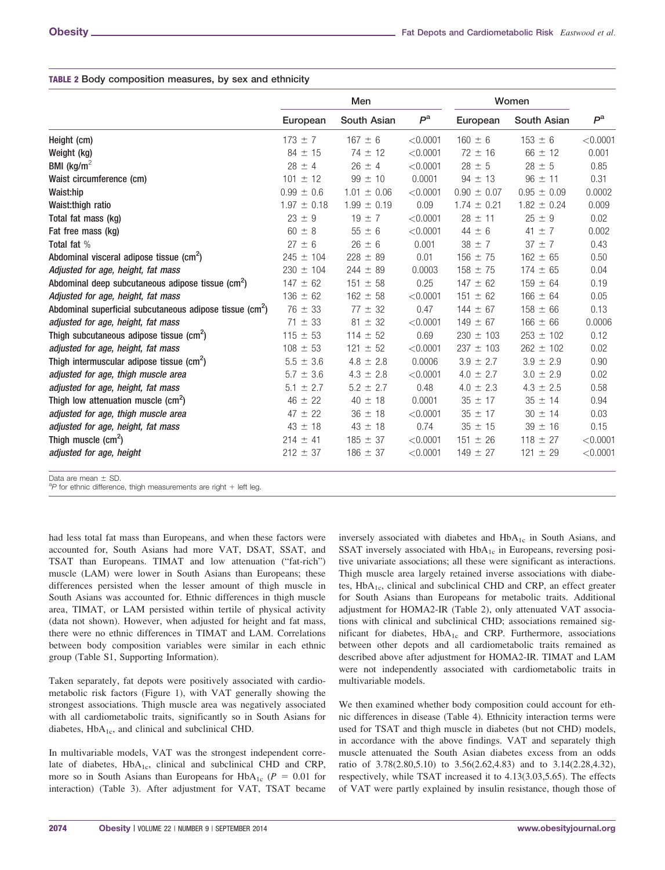#### TABLE 2 Body composition measures, by sex and ethnicity

|                                                               | Men             |                 |             | Women           |                 |          |
|---------------------------------------------------------------|-----------------|-----------------|-------------|-----------------|-----------------|----------|
|                                                               | European        | South Asian     | $P^{\rm a}$ | European        | South Asian     | $P^a$    |
| Height (cm)                                                   | $173 \pm 7$     | $167 \pm 6$     | < 0.0001    | $160 \pm 6$     | $153 \pm 6$     | < 0.0001 |
| Weight (kg)                                                   | $84 \pm 15$     | $74 \pm 12$     | < 0.0001    | $72 \pm 16$     | $66 \pm 12$     | 0.001    |
| BMI ( $\text{kg/m}^2$                                         | $28 \pm 4$      | $26 \pm 4$      | < 0.0001    | $28 \pm 5$      | $28 \pm 5$      | 0.85     |
| Waist circumference (cm)                                      | $101 \pm 12$    | $99 \pm 10$     | 0.0001      | $94 \pm 13$     | $96 \pm 11$     | 0.31     |
| Waist:hip                                                     | $0.99 \pm 0.6$  | $1.01 \pm 0.06$ | < 0.0001    | $0.90 \pm 0.07$ | $0.95 \pm 0.09$ | 0.0002   |
| Waist:thigh ratio                                             | $1.97 \pm 0.18$ | $1.99 \pm 0.19$ | 0.09        | $1.74 \pm 0.21$ | $1.82 \pm 0.24$ | 0.009    |
| Total fat mass (kg)                                           | $23 \pm 9$      | $19 \pm 7$      | < 0.0001    | $28 \pm 11$     | $25 \pm 9$      | 0.02     |
| Fat free mass (kg)                                            | $60 \pm 8$      | $55 \pm 6$      | < 0.0001    | $44 \pm 6$      | $41 \pm 7$      | 0.002    |
| Total fat %                                                   | $27 \pm 6$      | $26 \pm 6$      | 0.001       | $38 \pm 7$      | $37 \pm 7$      | 0.43     |
| Abdominal visceral adipose tissue $(cm2)$                     | $245 \pm 104$   | $228 \pm 89$    | 0.01        | $156 \pm 75$    | $162 \pm 65$    | 0.50     |
| Adjusted for age, height, fat mass                            | $230 \pm 104$   | $244 \pm 89$    | 0.0003      | $158 \pm 75$    | $174 \pm 65$    | 0.04     |
| Abdominal deep subcutaneous adipose tissue (cm <sup>2</sup> ) | $147 \pm 62$    | $151 \pm 58$    | 0.25        | $147 \pm 62$    | $159 \pm 64$    | 0.19     |
| Adjusted for age, height, fat mass                            | $136 \pm 62$    | $162 \pm 58$    | < 0.0001    | 151<br>± 62     | $166 \pm 64$    | 0.05     |
| Abdominal superficial subcutaneous adipose tissue $(cm2)$     | $76 \pm 33$     | $77 \pm 32$     | 0.47        | $144 \pm 67$    | $158 \pm 66$    | 0.13     |
| adjusted for age, height, fat mass                            | $71 \pm 33$     | $81 \pm 32$     | < 0.0001    | $149 \pm 67$    | $166 \pm 66$    | 0.0006   |
| Thigh subcutaneous adipose tissue (cm <sup>2</sup> )          | $115 \pm 53$    | $114 \pm 52$    | 0.69        | $230 \pm 103$   | $253 \pm 102$   | 0.12     |
| adjusted for age, height, fat mass                            | $108 \pm 53$    | $121 \pm 52$    | < 0.0001    | $237 \pm 103$   | $262 \pm 102$   | 0.02     |
| Thigh intermuscular adipose tissue $\text{(cm}^2\text{)}$     | $5.5 \pm 3.6$   | $4.8 \pm 2.8$   | 0.0006      | $3.9 \pm 2.7$   | $3.9 \pm 2.9$   | 0.90     |
| adjusted for age, thigh muscle area                           | $5.7 \pm 3.6$   | $4.3 \pm 2.8$   | < 0.0001    | $4.0 \pm 2.7$   | $3.0 \pm 2.9$   | 0.02     |
| adjusted for age, height, fat mass                            | $5.1 \pm 2.7$   | $5.2 \pm 2.7$   | 0.48        | $4.0 \pm 2.3$   | $4.3 \pm 2.5$   | 0.58     |
| Thigh low attenuation muscle $(cm2)$                          | $46 \pm 22$     | $40 \pm 18$     | 0.0001      | $35 \pm 17$     | $35 \pm 14$     | 0.94     |
| adjusted for age, thigh muscle area                           | $47 \pm 22$     | $36 \pm 18$     | < 0.0001    | $35 \pm 17$     | $30 \pm 14$     | 0.03     |
| adjusted for age, height, fat mass                            | $43 \pm 18$     | $43 \pm 18$     | 0.74        | $35 \pm 15$     | $39 \pm 16$     | 0.15     |
| Thigh muscle $(cm2)$                                          | $214 \pm 41$    | $185 \pm 37$    | < 0.0001    | $151 \pm 26$    | $118 \pm 27$    | < 0.0001 |
| adjusted for age, height                                      | $212 \pm 37$    | $186 \pm 37$    | < 0.0001    | $149 \pm 27$    | $121 \pm 29$    | < 0.0001 |

Data are mean  $\pm$  SD.

 ${}^{a}P$  for ethnic difference, thigh measurements are right + left leg.

had less total fat mass than Europeans, and when these factors were accounted for, South Asians had more VAT, DSAT, SSAT, and TSAT than Europeans. TIMAT and low attenuation ("fat-rich") muscle (LAM) were lower in South Asians than Europeans; these differences persisted when the lesser amount of thigh muscle in South Asians was accounted for. Ethnic differences in thigh muscle area, TIMAT, or LAM persisted within tertile of physical activity (data not shown). However, when adjusted for height and fat mass, there were no ethnic differences in TIMAT and LAM. Correlations between body composition variables were similar in each ethnic group (Table S1, Supporting Information).

Taken separately, fat depots were positively associated with cardiometabolic risk factors (Figure 1), with VAT generally showing the strongest associations. Thigh muscle area was negatively associated with all cardiometabolic traits, significantly so in South Asians for diabetes,  $HbA_{1c}$ , and clinical and subclinical CHD.

In multivariable models, VAT was the strongest independent correlate of diabetes,  $HbA_{1c}$ , clinical and subclinical CHD and CRP, more so in South Asians than Europeans for  $HbA_{1c}$  ( $P = 0.01$  for interaction) (Table 3). After adjustment for VAT, TSAT became inversely associated with diabetes and  $HbA_{1c}$  in South Asians, and SSAT inversely associated with  $HbA_{1c}$  in Europeans, reversing positive univariate associations; all these were significant as interactions. Thigh muscle area largely retained inverse associations with diabetes,  $HbA_{1c}$ , clinical and subclinical CHD and CRP, an effect greater for South Asians than Europeans for metabolic traits. Additional adjustment for HOMA2-IR (Table 2), only attenuated VAT associations with clinical and subclinical CHD; associations remained significant for diabetes,  $HbA_{1c}$  and CRP. Furthermore, associations between other depots and all cardiometabolic traits remained as described above after adjustment for HOMA2-IR. TIMAT and LAM were not independently associated with cardiometabolic traits in multivariable models.

We then examined whether body composition could account for ethnic differences in disease (Table 4). Ethnicity interaction terms were used for TSAT and thigh muscle in diabetes (but not CHD) models, in accordance with the above findings. VAT and separately thigh muscle attenuated the South Asian diabetes excess from an odds ratio of 3.78(2.80,5.10) to 3.56(2.62,4.83) and to 3.14(2.28,4.32), respectively, while TSAT increased it to 4.13(3.03,5.65). The effects of VAT were partly explained by insulin resistance, though those of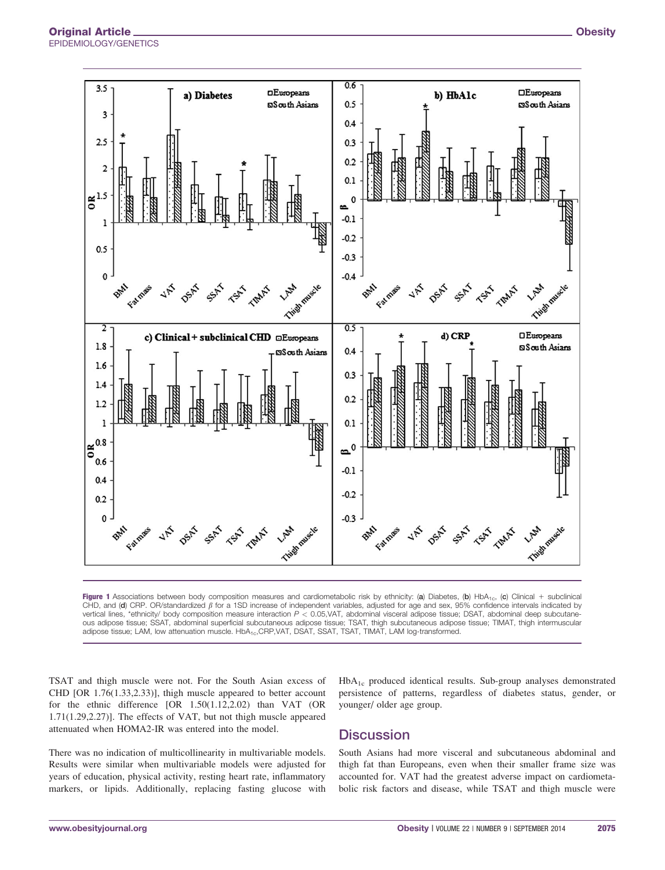

Figure 1 Associations between body composition measures and cardiometabolic risk by ethnicity: (a) Diabetes, (b) HbA<sub>1c</sub>, (c) Clinical + subclinical CHD, and (d) CRP. OR/standardized  $\beta$  for a 1SD increase of independent variables, adjusted for age and sex, 95% confidence intervals indicated by vertical lines, \*ethnicity/ body composition measure interaction P < 0.05,VAT, abdominal visceral adipose tissue; DSAT, abdominal deep subcutaneous adipose tissue; SSAT, abdominal superficial subcutaneous adipose tissue; TSAT, thigh subcutaneous adipose tissue; TIMAT, thigh intermuscular adipose tissue; LAM, low attenuation muscle. HbA<sub>1c</sub>,CRP,VAT, DSAT, SSAT, TSAT, TIMAT, LAM log-transformed.

TSAT and thigh muscle were not. For the South Asian excess of CHD [OR 1.76(1.33,2.33)], thigh muscle appeared to better account for the ethnic difference [OR 1.50(1.12,2.02) than VAT (OR 1.71(1.29,2.27)]. The effects of VAT, but not thigh muscle appeared attenuated when HOMA2-IR was entered into the model.

There was no indication of multicollinearity in multivariable models. Results were similar when multivariable models were adjusted for years of education, physical activity, resting heart rate, inflammatory markers, or lipids. Additionally, replacing fasting glucose with HbA1c produced identical results. Sub-group analyses demonstrated persistence of patterns, regardless of diabetes status, gender, or younger/ older age group.

## **Discussion**

South Asians had more visceral and subcutaneous abdominal and thigh fat than Europeans, even when their smaller frame size was accounted for. VAT had the greatest adverse impact on cardiometabolic risk factors and disease, while TSAT and thigh muscle were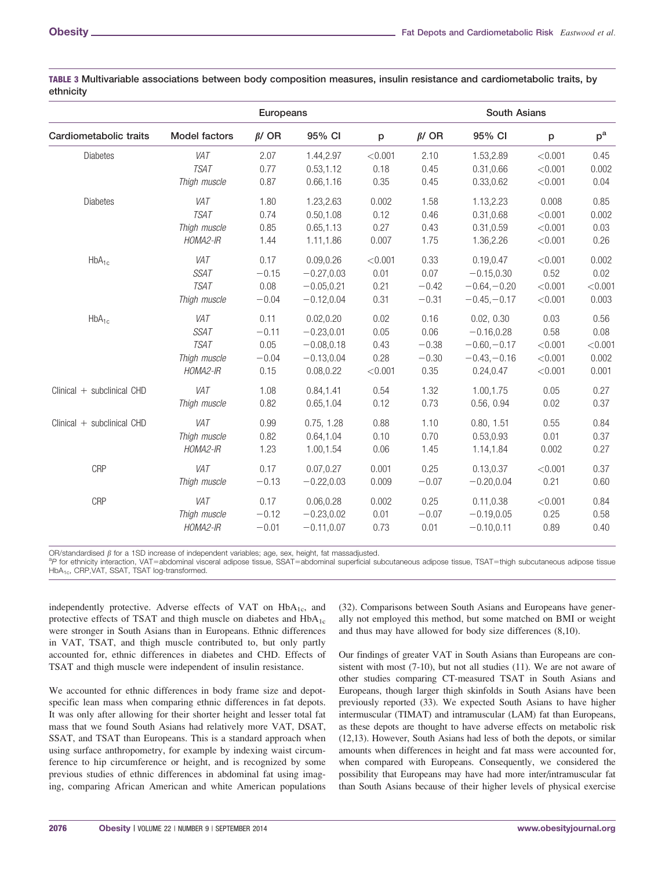|                              |               | <b>South Asians</b> |               |         |              |                |         |         |
|------------------------------|---------------|---------------------|---------------|---------|--------------|----------------|---------|---------|
| Cardiometabolic traits       | Model factors | $\beta$ / OR        | 95% CI        | p       | $\beta$ / OR | 95% CI         | p       | $p^a$   |
| <b>Diabetes</b>              | VAT           | 2.07                | 1.44,2.97     | < 0.001 | 2.10         | 1.53,2.89      | < 0.001 | 0.45    |
|                              | <b>TSAT</b>   | 0.77                | 0.53, 1.12    | 0.18    | 0.45         | 0.31,0.66      | < 0.001 | 0.002   |
|                              | Thigh muscle  | 0.87                | 0.66, 1.16    | 0.35    | 0.45         | 0.33,0.62      | < 0.001 | 0.04    |
| <b>Diabetes</b>              | VAT           | 1.80                | 1.23,2.63     | 0.002   | 1.58         | 1.13,2.23      | 0.008   | 0.85    |
|                              | <b>TSAT</b>   | 0.74                | 0.50, 1.08    | 0.12    | 0.46         | 0.31,0.68      | < 0.001 | 0.002   |
|                              | Thigh muscle  | 0.85                | 0.65, 1.13    | 0.27    | 0.43         | 0.31,0.59      | < 0.001 | 0.03    |
|                              | HOMA2-IR      | 1.44                | 1.11,1.86     | 0.007   | 1.75         | 1.36,2.26      | < 0.001 | 0.26    |
| $HbA_{1c}$                   | VAT           | 0.17                | 0.09.0.26     | < 0.001 | 0.33         | 0.19,0.47      | < 0.001 | 0.002   |
|                              | <b>SSAT</b>   | $-0.15$             | $-0.27, 0.03$ | 0.01    | 0.07         | $-0.15, 0.30$  | 0.52    | 0.02    |
|                              | <b>TSAT</b>   | 0.08                | $-0.05, 0.21$ | 0.21    | $-0.42$      | $-0.64, -0.20$ | < 0.001 | < 0.001 |
|                              | Thigh muscle  | $-0.04$             | $-0.12, 0.04$ | 0.31    | $-0.31$      | $-0.45,-0.17$  | < 0.001 | 0.003   |
| $HbA_{1c}$                   | VAT           | 0.11                | 0.02, 0.20    | 0.02    | 0.16         | 0.02, 0.30     | 0.03    | 0.56    |
|                              | <b>SSAT</b>   | $-0.11$             | $-0.23, 0.01$ | 0.05    | 0.06         | $-0.16, 0.28$  | 0.58    | 0.08    |
|                              | <b>TSAT</b>   | 0.05                | $-0.08.0.18$  | 0.43    | $-0.38$      | $-0.60, -0.17$ | < 0.001 | < 0.001 |
|                              | Thigh muscle  | $-0.04$             | $-0.13, 0.04$ | 0.28    | $-0.30$      | $-0.43,-0.16$  | < 0.001 | 0.002   |
|                              | HOMA2-IR      | 0.15                | 0.08, 0.22    | < 0.001 | 0.35         | 0.24,0.47      | < 0.001 | 0.001   |
| Clinical + subclinical CHD   | VAT           | 1.08                | 0.84, 1.41    | 0.54    | 1.32         | 1.00,1.75      | 0.05    | 0.27    |
|                              | Thigh muscle  | 0.82                | 0.65,1.04     | 0.12    | 0.73         | 0.56, 0.94     | 0.02    | 0.37    |
| $Clinical + subclinical$ CHD | VAT           | 0.99                | 0.75, 1.28    | 0.88    | 1.10         | 0.80, 1.51     | 0.55    | 0.84    |
|                              | Thigh muscle  | 0.82                | 0.64,1.04     | 0.10    | 0.70         | 0.53,0.93      | 0.01    | 0.37    |
|                              | HOMA2-IR      | 1.23                | 1.00,1.54     | 0.06    | 1.45         | 1.14,1.84      | 0.002   | 0.27    |
| <b>CRP</b>                   | VAT           | 0.17                | 0.07.0.27     | 0.001   | 0.25         | 0.13,0.37      | < 0.001 | 0.37    |
|                              | Thigh muscle  | $-0.13$             | $-0.22, 0.03$ | 0.009   | $-0.07$      | $-0.20, 0.04$  | 0.21    | 0.60    |
| <b>CRP</b>                   | VAT           | 0.17                | 0.06, 0.28    | 0.002   | 0.25         | 0.11, 0.38     | < 0.001 | 0.84    |
|                              | Thigh muscle  | $-0.12$             | $-0.23, 0.02$ | 0.01    | $-0.07$      | $-0.19, 0.05$  | 0.25    | 0.58    |
|                              | HOMA2-IR      | $-0.01$             | $-0.11, 0.07$ | 0.73    | 0.01         | $-0.10, 0.11$  | 0.89    | 0.40    |

TABLE 3 Multivariable associations between body composition measures, insulin resistance and cardiometabolic traits, by ethnicity

OR/standardised  $\beta$  for a 1SD increase of independent variables; age, sex, height, fat massadjusted.

<sup>a</sup>P for ethnicity interaction, VAT=abdominal visceral adipose tissue, SSAT=abdominal superficial subcutaneous adipose tissue, TSAT=thigh subcutaneous adipose tissue HbA<sub>1c</sub>, CRP, VAT, SSAT, TSAT log-transformed.

independently protective. Adverse effects of VAT on HbA<sub>1c</sub>, and protective effects of TSAT and thigh muscle on diabetes and  $HbA_{1c}$ were stronger in South Asians than in Europeans. Ethnic differences in VAT, TSAT, and thigh muscle contributed to, but only partly accounted for, ethnic differences in diabetes and CHD. Effects of TSAT and thigh muscle were independent of insulin resistance.

We accounted for ethnic differences in body frame size and depotspecific lean mass when comparing ethnic differences in fat depots. It was only after allowing for their shorter height and lesser total fat mass that we found South Asians had relatively more VAT, DSAT, SSAT, and TSAT than Europeans. This is a standard approach when using surface anthropometry, for example by indexing waist circumference to hip circumference or height, and is recognized by some previous studies of ethnic differences in abdominal fat using imaging, comparing African American and white American populations

(32). Comparisons between South Asians and Europeans have generally not employed this method, but some matched on BMI or weight and thus may have allowed for body size differences (8,10).

Our findings of greater VAT in South Asians than Europeans are consistent with most (7-10), but not all studies (11). We are not aware of other studies comparing CT-measured TSAT in South Asians and Europeans, though larger thigh skinfolds in South Asians have been previously reported (33). We expected South Asians to have higher intermuscular (TIMAT) and intramuscular (LAM) fat than Europeans, as these depots are thought to have adverse effects on metabolic risk (12,13). However, South Asians had less of both the depots, or similar amounts when differences in height and fat mass were accounted for, when compared with Europeans. Consequently, we considered the possibility that Europeans may have had more inter/intramuscular fat than South Asians because of their higher levels of physical exercise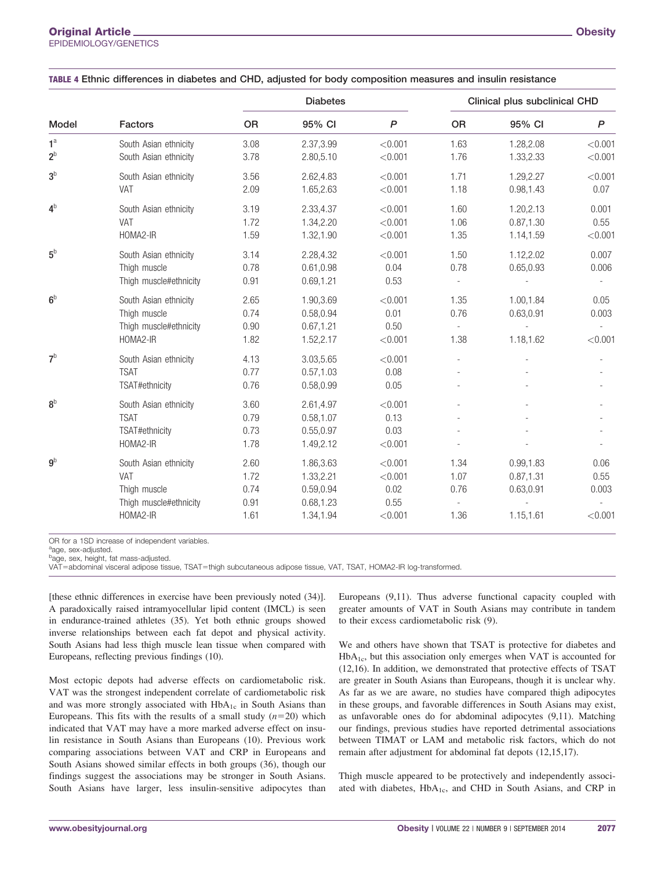|  |  | TABLE 4 Ethnic differences in diabetes and CHD, adjusted for body composition measures and insulin resistance |  |  |  |  |  |  |
|--|--|---------------------------------------------------------------------------------------------------------------|--|--|--|--|--|--|
|--|--|---------------------------------------------------------------------------------------------------------------|--|--|--|--|--|--|

|                         |                                                                                    |                                      | <b>Diabetes</b>                                               |                                               | Clinical plus subclinical CHD            |                                                   |                                  |  |
|-------------------------|------------------------------------------------------------------------------------|--------------------------------------|---------------------------------------------------------------|-----------------------------------------------|------------------------------------------|---------------------------------------------------|----------------------------------|--|
| Model                   | Factors                                                                            | <b>OR</b>                            | 95% CI                                                        | $\mathsf{P}$                                  | <b>OR</b>                                | 95% CI                                            | P                                |  |
| 1 <sup>a</sup><br>$2^b$ | South Asian ethnicity<br>South Asian ethnicity                                     | 3.08<br>3.78                         | 2.37,3.99<br>2.80,5.10                                        | < 0.001<br>< 0.001                            | 1.63<br>1.76                             | 1.28,2.08<br>1.33,2.33                            | < 0.001<br>< 0.001               |  |
| 3 <sup>b</sup>          | South Asian ethnicity<br>VAT                                                       | 3.56<br>2.09                         | 2.62,4.83<br>1.65,2.63                                        | < 0.001<br>< 0.001                            | 1.71<br>1.18                             | 1.29,2.27<br>0.98,1.43                            | < 0.001<br>0.07                  |  |
| 4 <sup>b</sup>          | South Asian ethnicity<br>VAT<br>HOMA2-IR                                           | 3.19<br>1.72<br>1.59                 | 2.33,4.37<br>1.34,2.20<br>1.32,1.90                           | < 0.001<br>< 0.001<br>< 0.001                 | 1.60<br>1.06<br>1.35                     | 1.20,2.13<br>0.87, 1.30<br>1.14,1.59              | 0.001<br>0.55<br>< 0.001         |  |
| 5 <sup>b</sup>          | South Asian ethnicity<br>Thigh muscle<br>Thigh muscle#ethnicity                    | 3.14<br>0.78<br>0.91                 | 2.28,4.32<br>0.61,0.98<br>0.69, 1.21                          | < 0.001<br>0.04<br>0.53                       | 1.50<br>0.78<br>$\overline{\phantom{a}}$ | 1.12,2.02<br>0.65,0.93                            | 0.007<br>0.006                   |  |
| 6 <sup>b</sup>          | South Asian ethnicity<br>Thigh muscle<br>Thigh muscle#ethnicity<br>HOMA2-IR        | 2.65<br>0.74<br>0.90<br>1.82         | 1.90,3.69<br>0.58,0.94<br>0.67, 1.21<br>1.52,2.17             | < 0.001<br>0.01<br>0.50<br>< 0.001            | 1.35<br>0.76<br>1.38                     | 1.00,1.84<br>0.63,0.91<br>1.18,1.62               | 0.05<br>0.003<br>< 0.001         |  |
| 7 <sup>b</sup>          | South Asian ethnicity<br><b>TSAT</b><br>TSAT#ethnicity                             | 4.13<br>0.77<br>0.76                 | 3.03,5.65<br>0.57, 1.03<br>0.58,0.99                          | < 0.001<br>0.08<br>0.05                       |                                          |                                                   |                                  |  |
| 8 <sup>b</sup>          | South Asian ethnicity<br><b>TSAT</b><br>TSAT#ethnicity<br>HOMA2-IR                 | 3.60<br>0.79<br>0.73<br>1.78         | 2.61,4.97<br>0.58,1.07<br>0.55,0.97<br>1.49,2.12              | < 0.001<br>0.13<br>0.03<br>< 0.001            |                                          |                                                   |                                  |  |
| 9 <sup>b</sup>          | South Asian ethnicity<br>VAT<br>Thigh muscle<br>Thigh muscle#ethnicity<br>HOMA2-IR | 2.60<br>1.72<br>0.74<br>0.91<br>1.61 | 1.86,3.63<br>1.33,2.21<br>0.59,0.94<br>0.68,1.23<br>1.34,1.94 | < 0.001<br>< 0.001<br>0.02<br>0.55<br>< 0.001 | 1.34<br>1.07<br>0.76<br>1.36             | 0.99,1.83<br>0.87, 1.31<br>0.63,0.91<br>1.15,1.61 | 0.06<br>0.55<br>0.003<br>< 0.001 |  |

OR for a 1SD increase of independent variables.

<sup>a</sup>age, sex-adjusted.

bage, sex, height, fat mass-adjusted.

VAT=abdominal visceral adipose tissue, TSAT=thigh subcutaneous adipose tissue, VAT, TSAT, HOMA2-IR log-transformed.

[these ethnic differences in exercise have been previously noted (34)]. A paradoxically raised intramyocellular lipid content (IMCL) is seen in endurance-trained athletes (35). Yet both ethnic groups showed inverse relationships between each fat depot and physical activity. South Asians had less thigh muscle lean tissue when compared with Europeans, reflecting previous findings (10).

Most ectopic depots had adverse effects on cardiometabolic risk. VAT was the strongest independent correlate of cardiometabolic risk and was more strongly associated with  $HbA_{1c}$  in South Asians than Europeans. This fits with the results of a small study  $(n=20)$  which indicated that VAT may have a more marked adverse effect on insulin resistance in South Asians than Europeans (10). Previous work comparing associations between VAT and CRP in Europeans and South Asians showed similar effects in both groups (36), though our findings suggest the associations may be stronger in South Asians. South Asians have larger, less insulin-sensitive adipocytes than

Europeans (9,11). Thus adverse functional capacity coupled with greater amounts of VAT in South Asians may contribute in tandem to their excess cardiometabolic risk (9).

We and others have shown that TSAT is protective for diabetes and  $HbA<sub>1c</sub>$ , but this association only emerges when VAT is accounted for (12,16). In addition, we demonstrated that protective effects of TSAT are greater in South Asians than Europeans, though it is unclear why. As far as we are aware, no studies have compared thigh adipocytes in these groups, and favorable differences in South Asians may exist, as unfavorable ones do for abdominal adipocytes (9,11). Matching our findings, previous studies have reported detrimental associations between TIMAT or LAM and metabolic risk factors, which do not remain after adjustment for abdominal fat depots (12,15,17).

Thigh muscle appeared to be protectively and independently associated with diabetes,  $HbA_{1c}$ , and CHD in South Asians, and CRP in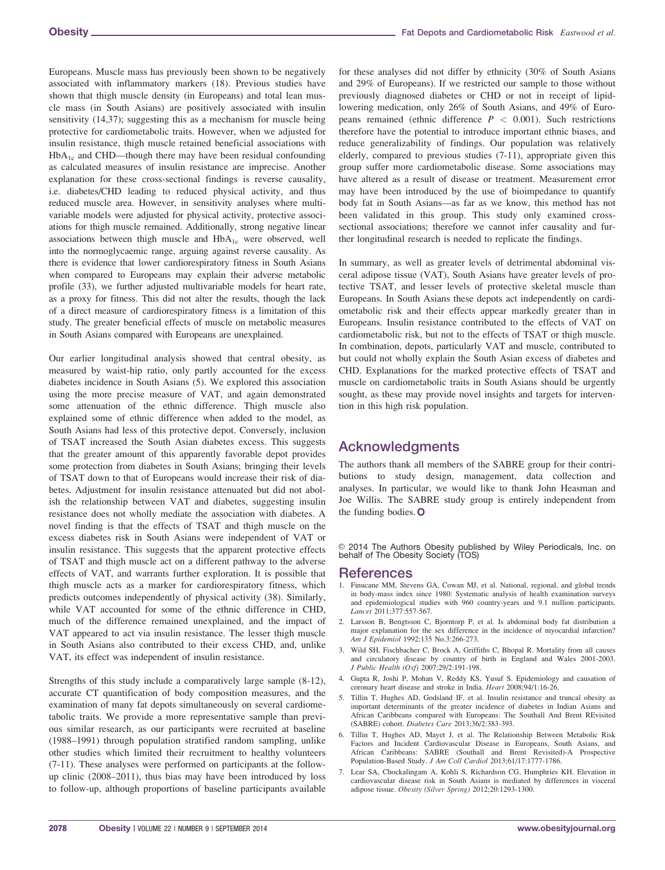Europeans. Muscle mass has previously been shown to be negatively associated with inflammatory markers (18). Previous studies have shown that thigh muscle density (in Europeans) and total lean muscle mass (in South Asians) are positively associated with insulin sensitivity (14,37); suggesting this as a mechanism for muscle being protective for cardiometabolic traits. However, when we adjusted for insulin resistance, thigh muscle retained beneficial associations with  $HbA_{1c}$  and CHD—though there may have been residual confounding as calculated measures of insulin resistance are imprecise. Another explanation for these cross-sectional findings is reverse causality, i.e. diabetes/CHD leading to reduced physical activity, and thus reduced muscle area. However, in sensitivity analyses where multivariable models were adjusted for physical activity, protective associations for thigh muscle remained. Additionally, strong negative linear associations between thigh muscle and  $HbA_{1c}$  were observed, well into the normoglycaemic range, arguing against reverse causality. As there is evidence that lower cardiorespiratory fitness in South Asians when compared to Europeans may explain their adverse metabolic profile (33), we further adjusted multivariable models for heart rate, as a proxy for fitness. This did not alter the results, though the lack of a direct measure of cardiorespiratory fitness is a limitation of this study. The greater beneficial effects of muscle on metabolic measures in South Asians compared with Europeans are unexplained.

Our earlier longitudinal analysis showed that central obesity, as measured by waist-hip ratio, only partly accounted for the excess diabetes incidence in South Asians (5). We explored this association using the more precise measure of VAT, and again demonstrated some attenuation of the ethnic difference. Thigh muscle also explained some of ethnic difference when added to the model, as South Asians had less of this protective depot. Conversely, inclusion of TSAT increased the South Asian diabetes excess. This suggests that the greater amount of this apparently favorable depot provides some protection from diabetes in South Asians; bringing their levels of TSAT down to that of Europeans would increase their risk of diabetes. Adjustment for insulin resistance attenuated but did not abolish the relationship between VAT and diabetes, suggesting insulin resistance does not wholly mediate the association with diabetes. A novel finding is that the effects of TSAT and thigh muscle on the excess diabetes risk in South Asians were independent of VAT or insulin resistance. This suggests that the apparent protective effects of TSAT and thigh muscle act on a different pathway to the adverse effects of VAT, and warrants further exploration. It is possible that thigh muscle acts as a marker for cardiorespiratory fitness, which predicts outcomes independently of physical activity (38). Similarly, while VAT accounted for some of the ethnic difference in CHD, much of the difference remained unexplained, and the impact of VAT appeared to act via insulin resistance. The lesser thigh muscle in South Asians also contributed to their excess CHD, and, unlike VAT, its effect was independent of insulin resistance.

Strengths of this study include a comparatively large sample (8-12), accurate CT quantification of body composition measures, and the examination of many fat depots simultaneously on several cardiometabolic traits. We provide a more representative sample than previous similar research, as our participants were recruited at baseline (1988–1991) through population stratified random sampling, unlike other studies which limited their recruitment to healthy volunteers (7-11). These analyses were performed on participants at the followup clinic (2008–2011), thus bias may have been introduced by loss to follow-up, although proportions of baseline participants available

for these analyses did not differ by ethnicity (30% of South Asians and 29% of Europeans). If we restricted our sample to those without previously diagnosed diabetes or CHD or not in receipt of lipidlowering medication, only 26% of South Asians, and 49% of Europeans remained (ethnic difference  $P < 0.001$ ). Such restrictions therefore have the potential to introduce important ethnic biases, and reduce generalizability of findings. Our population was relatively elderly, compared to previous studies (7-11), appropriate given this group suffer more cardiometabolic disease. Some associations may have altered as a result of disease or treatment. Measurement error may have been introduced by the use of bioimpedance to quantify body fat in South Asians—as far as we know, this method has not been validated in this group. This study only examined crosssectional associations; therefore we cannot infer causality and further longitudinal research is needed to replicate the findings.

In summary, as well as greater levels of detrimental abdominal visceral adipose tissue (VAT), South Asians have greater levels of protective TSAT, and lesser levels of protective skeletal muscle than Europeans. In South Asians these depots act independently on cardiometabolic risk and their effects appear markedly greater than in Europeans. Insulin resistance contributed to the effects of VAT on cardiometabolic risk, but not to the effects of TSAT or thigh muscle. In combination, depots, particularly VAT and muscle, contributed to but could not wholly explain the South Asian excess of diabetes and CHD. Explanations for the marked protective effects of TSAT and muscle on cardiometabolic traits in South Asians should be urgently sought, as these may provide novel insights and targets for intervention in this high risk population.

## Acknowledgments

The authors thank all members of the SABRE group for their contributions to study design, management, data collection and analyses. In particular, we would like to thank John Heasman and Joe Willis. The SABRE study group is entirely independent from the funding bodies. O

 $©$  2014 The Authors Obesity published by Wiley Periodicals, Inc. on behalf of The Obesity Society (TOS)

### References

- 1. Finucane MM, Stevens GA, Cowan MJ, et al. National, regional, and global trends in body-mass index since 1980: Systematic analysis of health examination surveys and epidemiological studies with 960 country-years and 9.1 million participants. Lancet 2011;377:557-567.
- 2. Larsson B, Bengtsson C, Bjorntorp P, et al. Is abdominal body fat distribution a major explanation for the sex difference in the incidence of myocardial infarction? Am J Epidemiol 1992;135 No.3:266-273.
- 3. Wild SH, Fischbacher C, Brock A, Griffiths C, Bhopal R. Mortality from all causes and circulatory disease by country of birth in England and Wales 2001-2003. J Public Health (Oxf) 2007;29/2:191-198.
- 4. Gupta R, Joshi P, Mohan V, Reddy KS, Yusuf S. Epidemiology and causation of coronary heart disease and stroke in India. Heart 2008;94/1:16-26.
- 5. Tillin T, Hughes AD, Godsland IF, et al. Insulin resistance and truncal obesity as important determinants of the greater incidence of diabetes in Indian Asians and African Caribbeans compared with Europeans: The Southall And Brent REvisited (SABRE) cohort. Diabetes Care 2013;36/2:383-393.
- 6. Tillin T, Hughes AD, Mayet J, et al. The Relationship Between Metabolic Risk Factors and Incident Cardiovascular Disease in Europeans, South Asians, and African Caribbeans: SABRE (Southall and Brent Revisited)-A Prospective Population-Based Study. J Am Coll Cardiol 2013;61/17:1777-1786.
- 7. Lear SA, Chockalingam A, Kohli S, Richardson CG, Humphries KH. Elevation in cardiovascular disease risk in South Asians is mediated by differences in visceral adipose tissue. Obesity (Silver Spring) 2012;20:1293-1300.